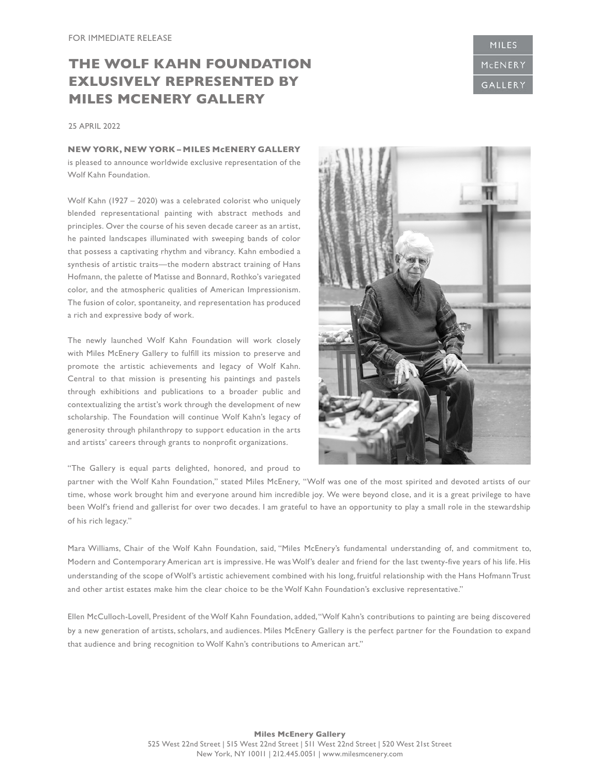## **THE WOLF KAHN FOUNDATION EXLUSIVELY REPRESENTED BY MILES MCENERY GALLERY**

25 APRIL 2022

## **NEW YORK, NEW YORK – MILES McENERY GALLERY**

is pleased to announce worldwide exclusive representation of the Wolf Kahn Foundation.

Wolf Kahn (1927 – 2020) was a celebrated colorist who uniquely blended representational painting with abstract methods and principles. Over the course of his seven decade career as an artist, he painted landscapes illuminated with sweeping bands of color that possess a captivating rhythm and vibrancy. Kahn embodied a synthesis of artistic traits—the modern abstract training of Hans Hofmann, the palette of Matisse and Bonnard, Rothko's variegated color, and the atmospheric qualities of American Impressionism. The fusion of color, spontaneity, and representation has produced a rich and expressive body of work.

The newly launched Wolf Kahn Foundation will work closely with Miles McEnery Gallery to fulfll its mission to preserve and promote the artistic achievements and legacy of Wolf Kahn. Central to that mission is presenting his paintings and pastels through exhibitions and publications to a broader public and contextualizing the artist's work through the development of new scholarship. The Foundation will continue Wolf Kahn's legacy of generosity through philanthropy to support education in the arts and artists' careers through grants to nonproft organizations.

"The Gallery is equal parts delighted, honored, and proud to



partner with the Wolf Kahn Foundation," stated Miles McEnery, "Wolf was one of the most spirited and devoted artists of our time, whose work brought him and everyone around him incredible joy. We were beyond close, and it is a great privilege to have been Wolf's friend and gallerist for over two decades. I am grateful to have an opportunity to play a small role in the stewardship of his rich legacy."

Mara Williams, Chair of the Wolf Kahn Foundation, said, "Miles McEnery's fundamental understanding of, and commitment to, Modern and Contemporary American art is impressive. He was Wolf's dealer and friend for the last twenty-five years of his life. His understanding of the scope of Wolf's artistic achievement combined with his long, fruitful relationship with the Hans Hofmann Trust and other artist estates make him the clear choice to be the Wolf Kahn Foundation's exclusive representative."

Ellen McCulloch-Lovell, President of the Wolf Kahn Foundation, added, "Wolf Kahn's contributions to painting are being discovered by a new generation of artists, scholars, and audiences. Miles McEnery Gallery is the perfect partner for the Foundation to expand that audience and bring recognition to Wolf Kahn's contributions to American art."